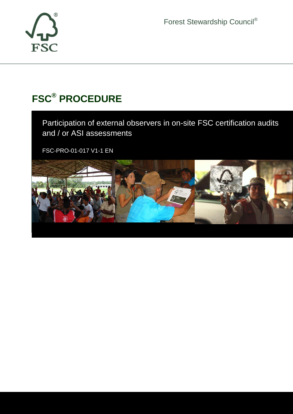

Forest Stewardship Council®

# **FSC® PROCEDURE**

Participation of external observers in on-site FSC certification audits and / or ASI assessments

FSC-PRO-01-017 V1-1 EN

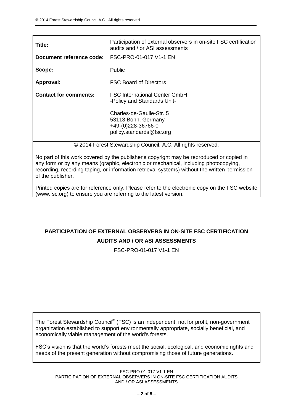| Title:                                          | Participation of external observers in on-site FSC certification<br>audits and / or ASI assessments |
|-------------------------------------------------|-----------------------------------------------------------------------------------------------------|
| Document reference code: FSC-PRO-01-017 V1-1 EN |                                                                                                     |
| Scope:                                          | <b>Public</b>                                                                                       |
| Approval:                                       | <b>FSC Board of Directors</b>                                                                       |
| <b>Contact for comments:</b>                    | <b>FSC International Center GmbH</b><br>-Policy and Standards Unit-                                 |
|                                                 | Charles-de-Gaulle-Str. 5<br>53113 Bonn, Germany<br>+49-(0)228-36766-0<br>policy.standards@fsc.org   |
|                                                 | © 2014 Forest Stewardship Council, A.C. All rights reserved.                                        |

No part of this work covered by the publisher's copyright may be reproduced or copied in any form or by any means (graphic, electronic or mechanical, including photocopying, recording, recording taping, or information retrieval systems) without the written permission of the publisher.

Printed copies are for reference only. Please refer to the electronic copy on the FSC website (www.fsc.org) to ensure you are referring to the latest version.

# **PARTICIPATION OF EXTERNAL OBSERVERS IN ON-SITE FSC CERTIFICATION AUDITS AND / OR ASI ASSESSMENTS**

FSC-PRO-01-017 V1-1 EN

The Forest Stewardship Council® (FSC) is an independent, not for profit, non-government organization established to support environmentally appropriate, socially beneficial, and economically viable management of the world's forests.

FSC's vision is that the world's forests meet the social, ecological, and economic rights and needs of the present generation without compromising those of future generations.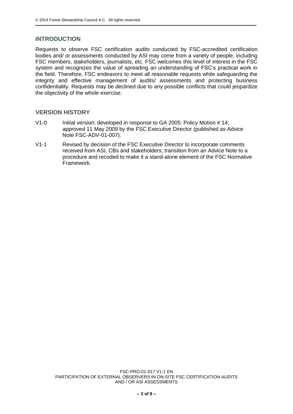# **INTRODUCTION**

Requests to observe FSC certification audits conducted by FSC-accredited certification bodies and/ or assessments conducted by ASI may come from a variety of people, including FSC members, stakeholders, journalists, etc. FSC welcomes this level of interest in the FSC system and recognizes the value of spreading an understanding of FSC's practical work in the field. Therefore, FSC endeavors to meet all reasonable requests while safeguarding the integrity and effective management of audits/ assessments and protecting business confidentiality. Requests may be declined due to any possible conflicts that could jeopardize the objectivity of the whole exercise.

#### **VERSION HISTORY**

- V1-0 Initial version; developed in response to GA 2005: Policy Motion # 14; approved 11 May 2009 by the FSC Executive Director (published as Advice Note FSC-ADV-01-007).
- V1-1 Revised by decision of the FSC Executive Director to incorporate comments received from ASI, CBs and stakeholders; transition from an Advice Note to a procedure and recoded to make it a stand-alone element of the FSC Normative Framework.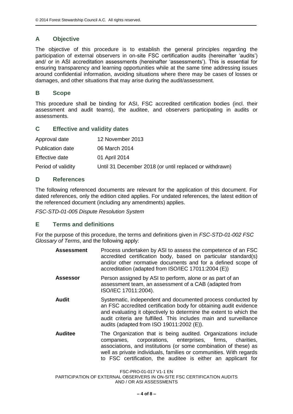# **A Objective**

The objective of this procedure is to establish the general principles regarding the participation of external observers in on-site FSC certification audits (hereinafter 'audits') and/ or in ASI accreditation assessments (hereinafter 'assessments'). This is essential for ensuring transparency and learning opportunities while at the same time addressing issues around confidential information, avoiding situations where there may be cases of losses or damages, and other situations that may arise during the audit/assessment.

## **B Scope**

This procedure shall be binding for ASI, FSC accredited certification bodies (incl. their assessment and audit teams), the auditee, and observers participating in audits or assessments.

# **C Effective and validity dates**

| Approval date           | 12 November 2013                                        |
|-------------------------|---------------------------------------------------------|
| <b>Publication date</b> | 06 March 2014                                           |
| Effective date          | 01 April 2014                                           |
| Period of validity      | Until 31 December 2018 (or until replaced or withdrawn) |

# **D References**

The following referenced documents are relevant for the application of this document. For dated references, only the edition cited applies. For undated references, the latest edition of the referenced document (including any amendments) applies.

*FSC-STD-01-005 Dispute Resolution System*

## **E Terms and definitions**

For the purpose of this procedure, the terms and definitions given in *FSC-STD-01-002 FSC Glossary of Terms*, and the following apply:

| <b>Assessment</b> | Process undertaken by ASI to assess the competence of an FSC<br>accredited certification body, based on particular standard(s)<br>and/or other normative documents and for a defined scope of<br>accreditation (adapted from ISO/IEC 17011:2004 (E))                                                                     |
|-------------------|--------------------------------------------------------------------------------------------------------------------------------------------------------------------------------------------------------------------------------------------------------------------------------------------------------------------------|
| <b>Assessor</b>   | Person assigned by ASI to perform, alone or as part of an<br>assessment team, an assessment of a CAB (adapted from<br>ISO/IEC 17011:2004).                                                                                                                                                                               |
| Audit             | Systematic, independent and documented process conducted by<br>an FSC accredited certification body for obtaining audit evidence<br>and evaluating it objectively to determine the extent to which the<br>audit criteria are fulfilled. This includes main and surveillance<br>audits (adapted from ISO 19011:2002 (E)). |
| <b>Auditee</b>    | The Organization that is being audited. Organizations include<br>corporations, enterprises, firms,<br>charities.<br>companies,<br>associations, and institutions (or some combination of these) as                                                                                                                       |

well as private individuals, families or communities. With regards to FSC certification, the auditee is either an applicant for

FSC-PRO-01-017 V1-1 EN

PARTICIPATION OF EXTERNAL OBSERVERS IN ON-SITE FSC CERTIFICATION AUDITS AND / OR ASI ASSESSMENTS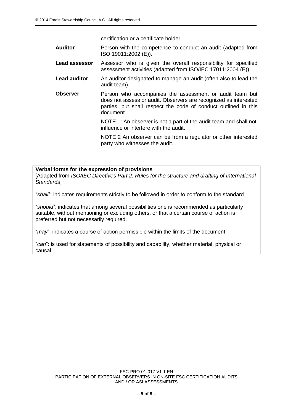certification or a certificate holder.

**Auditor** Person with the competence to conduct an audit (adapted from ISO 19011:2002 (E)).

- **Lead assessor** Assessor who is given the overall responsibility for specified assessment activities (adapted from ISO/IEC 17011:2004 (E)).
- **Lead auditor** An auditor designated to manage an audit (often also to lead the audit team).
- **Observer** Person who accompanies the assessment or audit team but does not assess or audit. Observers are recognized as interested parties, but shall respect the code of conduct outlined in this document.

NOTE 1: An observer is not a part of the audit team and shall not influence or interfere with the audit.

NOTE 2 An observer can be from a regulator or other interested party who witnesses the audit.

#### **Verbal forms for the expression of provisions**

[Adapted from *ISO/IEC Directives Part 2: Rules for the structure and drafting of International Standards*]

"*shall*": indicates requirements strictly to be followed in order to conform to the standard.

"*should*": indicates that among several possibilities one is recommended as particularly suitable, without mentioning or excluding others, or that a certain course of action is preferred but not necessarily required.

"*may*": indicates a course of action permissible within the limits of the document.

"*can*": is used for statements of possibility and capability, whether material, physical or causal.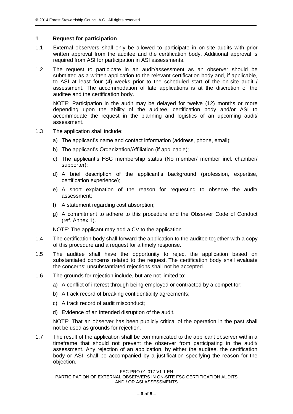#### **1 Request for participation**

- 1.1 External observers shall only be allowed to participate in on-site audits with prior written approval from the auditee and the certification body. Additional approval is required from ASI for participation in ASI assessments.
- 1.2 The request to participate in an audit/assessment as an observer should be submitted as a written application to the relevant certification body and, if applicable, to ASI at least four (4) weeks prior to the scheduled start of the on-site audit / assessment. The accommodation of late applications is at the discretion of the auditee and the certification body.

NOTE: Participation in the audit may be delayed for twelve (12) months or more depending upon the ability of the auditee, certification body and/or ASI to accommodate the request in the planning and logistics of an upcoming audit/ assessment.

- 1.3 The application shall include:
	- a) The applicant's name and contact information (address, phone, email);
	- b) The applicant's Organization/Affiliation (if applicable);
	- c) The applicant's FSC membership status (No member/ member incl. chamber/ supporter);
	- d) A brief description of the applicant's background (profession, expertise, certification experience);
	- e) A short explanation of the reason for requesting to observe the audit/ assessment;
	- f) A statement regarding cost absorption;
	- g) A commitment to adhere to this procedure and the Observer Code of Conduct (ref. Annex 1).

NOTE: The applicant may add a CV to the application.

- 1.4 The certification body shall forward the application to the auditee together with a copy of this procedure and a request for a timely response.
- 1.5 The auditee shall have the opportunity to reject the application based on substantiated concerns related to the request. The certification body shall evaluate the concerns; unsubstantiated rejections shall not be accepted.
- 1.6 The grounds for rejection include, but are not limited to:
	- a) A conflict of interest through being employed or contracted by a competitor;
	- b) A track record of breaking confidentiality agreements;
	- c) A track record of audit misconduct;
	- d) Evidence of an intended disruption of the audit.

NOTE: That an observer has been publicly critical of the operation in the past shall not be used as grounds for rejection.

1.7 The result of the application shall be communicated to the applicant observer within a timeframe that should not prevent the observer from participating in the audit/ assessment. Any rejection of an application, by either the auditee, the certification body or ASI, shall be accompanied by a justification specifying the reason for the objection.

FSC-PRO-01-017 V1-1 EN

PARTICIPATION OF EXTERNAL OBSERVERS IN ON-SITE FSC CERTIFICATION AUDITS AND / OR ASI ASSESSMENTS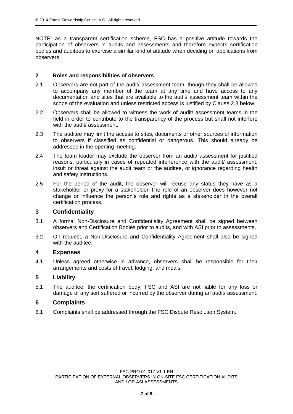NOTE: as a transparent certification scheme, FSC has a positive attitude towards the participation of observers in audits and assessments and therefore expects certification bodies and auditees to exercise a similar kind of attitude when deciding on applications from observers.

#### **2 Roles and responsibilities of observers**

- 2.1 Observers are not part of the audit/ assessment team, though they shall be allowed to accompany any member of the team at any time and have access to any documentation and sites that are available to the audit/ assessment team within the scope of the evaluation and unless restricted access is justified by Clause 2.3 below.
- 2.2 Observers shall be allowed to witness the work of audit/ assessment teams in the field in order to contribute to the transparency of the process but shall not interfere with the audit/ assessment.
- 2.3 The auditee may limit the access to sites, documents or other sources of information to observers if classified as confidential or dangerous. This should already be addressed in the opening meeting.
- 2.4 The team leader may exclude the observer from an audit/ assessment for justified reasons, particularly in cases of repeated interference with the audit/ assessment, insult or threat against the audit team or the auditee, or ignorance regarding health and safety instructions.
- 2.5 For the period of the audit, the observer will recuse any status they have as a stakeholder or proxy for a stakeholder The role of an observer does however not change or influence the person's role and rights as a stakeholder in the overall certification process.

#### **3 Confidentiality**

- 3.1 A formal Non-Disclosure and Confidentiality Agreement shall be signed between observers and Certification Bodies prior to audits, and with ASI prior to assessments.
- 3.2 On request, a Non-Disclosure and Confidentiality Agreement shall also be signed with the auditee.

#### **4 Expenses**

4.1 Unless agreed otherwise in advance, observers shall be responsible for their arrangements and costs of travel, lodging, and meals.

# **5 Liability**

5.1 The auditee, the certification body, FSC and ASI are not liable for any loss or damage of any sort suffered or incurred by the observer during an audit/ assessment.

#### **6 Complaints**

6.1 Complaints shall be addressed through the FSC Dispute Resolution System.